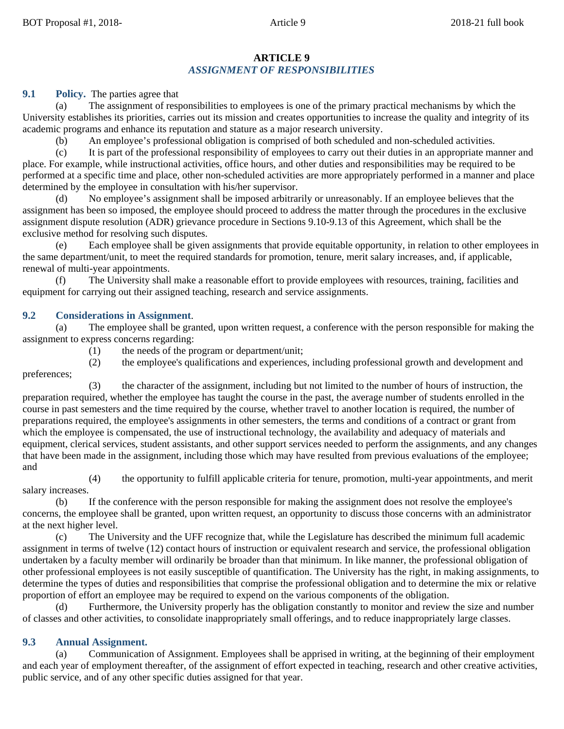# **ARTICLE 9** *ASSIGNMENT OF RESPONSIBILITIES*

## **9.1 Policy.** The parties agree that

(a) The assignment of responsibilities to employees is one of the primary practical mechanisms by which the University establishes its priorities, carries out its mission and creates opportunities to increase the quality and integrity of its academic programs and enhance its reputation and stature as a major research university.

(b) An employee's professional obligation is comprised of both scheduled and non-scheduled activities.

(c) It is part of the professional responsibility of employees to carry out their duties in an appropriate manner and place. For example, while instructional activities, office hours, and other duties and responsibilities may be required to be performed at a specific time and place, other non-scheduled activities are more appropriately performed in a manner and place determined by the employee in consultation with his/her supervisor.

(d) No employee's assignment shall be imposed arbitrarily or unreasonably. If an employee believes that the assignment has been so imposed, the employee should proceed to address the matter through the procedures in the exclusive assignment dispute resolution (ADR) grievance procedure in Sections 9.10-9.13 of this Agreement, which shall be the exclusive method for resolving such disputes.

(e) Each employee shall be given assignments that provide equitable opportunity, in relation to other employees in the same department/unit, to meet the required standards for promotion, tenure, merit salary increases, and, if applicable, renewal of multi-year appointments.

(f) The University shall make a reasonable effort to provide employees with resources, training, facilities and equipment for carrying out their assigned teaching, research and service assignments.

# **9.2 Considerations in Assignment**.

(a) The employee shall be granted, upon written request, a conference with the person responsible for making the assignment to express concerns regarding:

(1) the needs of the program or department/unit;

(2) the employee's qualifications and experiences, including professional growth and development and preferences;

(3) the character of the assignment, including but not limited to the number of hours of instruction, the preparation required, whether the employee has taught the course in the past, the average number of students enrolled in the course in past semesters and the time required by the course, whether travel to another location is required, the number of preparations required, the employee's assignments in other semesters, the terms and conditions of a contract or grant from which the employee is compensated, the use of instructional technology, the availability and adequacy of materials and equipment, clerical services, student assistants, and other support services needed to perform the assignments, and any changes that have been made in the assignment, including those which may have resulted from previous evaluations of the employee; and

(4) the opportunity to fulfill applicable criteria for tenure, promotion, multi-year appointments, and merit salary increases.

(b) If the conference with the person responsible for making the assignment does not resolve the employee's concerns, the employee shall be granted, upon written request, an opportunity to discuss those concerns with an administrator at the next higher level.

(c) The University and the UFF recognize that, while the Legislature has described the minimum full academic assignment in terms of twelve (12) contact hours of instruction or equivalent research and service, the professional obligation undertaken by a faculty member will ordinarily be broader than that minimum. In like manner, the professional obligation of other professional employees is not easily susceptible of quantification. The University has the right, in making assignments, to determine the types of duties and responsibilities that comprise the professional obligation and to determine the mix or relative proportion of effort an employee may be required to expend on the various components of the obligation.

(d) Furthermore, the University properly has the obligation constantly to monitor and review the size and number of classes and other activities, to consolidate inappropriately small offerings, and to reduce inappropriately large classes.

## **9.3 Annual Assignment.**

(a) Communication of Assignment. Employees shall be apprised in writing, at the beginning of their employment and each year of employment thereafter, of the assignment of effort expected in teaching, research and other creative activities, public service, and of any other specific duties assigned for that year.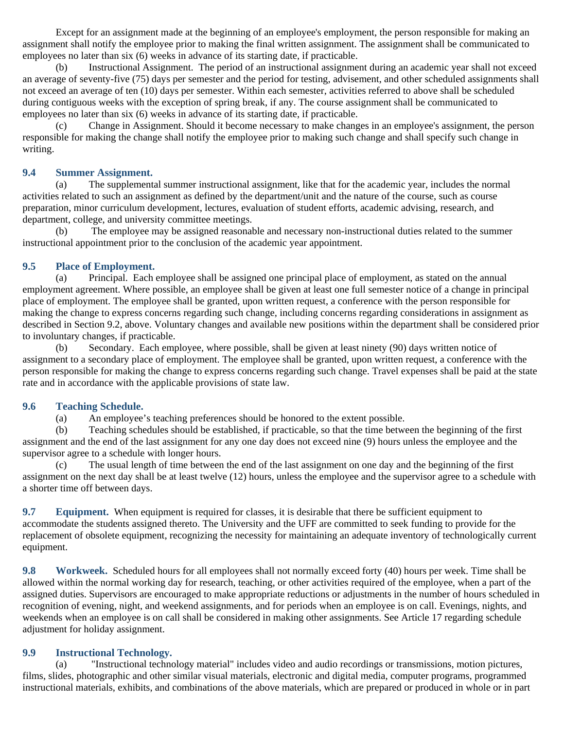Except for an assignment made at the beginning of an employee's employment, the person responsible for making an assignment shall notify the employee prior to making the final written assignment. The assignment shall be communicated to employees no later than six (6) weeks in advance of its starting date, if practicable.

(b) Instructional Assignment. The period of an instructional assignment during an academic year shall not exceed an average of seventy-five (75) days per semester and the period for testing, advisement, and other scheduled assignments shall not exceed an average of ten (10) days per semester. Within each semester, activities referred to above shall be scheduled during contiguous weeks with the exception of spring break, if any. The course assignment shall be communicated to employees no later than six (6) weeks in advance of its starting date, if practicable.

(c) Change in Assignment. Should it become necessary to make changes in an employee's assignment, the person responsible for making the change shall notify the employee prior to making such change and shall specify such change in writing.

### **9.4 Summer Assignment.**

The supplemental summer instructional assignment, like that for the academic year, includes the normal activities related to such an assignment as defined by the department/unit and the nature of the course, such as course preparation, minor curriculum development, lectures, evaluation of student efforts, academic advising, research, and department, college, and university committee meetings.

(b) The employee may be assigned reasonable and necessary non-instructional duties related to the summer instructional appointment prior to the conclusion of the academic year appointment.

### **9.5 Place of Employment.**

(a) Principal. Each employee shall be assigned one principal place of employment, as stated on the annual employment agreement. Where possible, an employee shall be given at least one full semester notice of a change in principal place of employment. The employee shall be granted, upon written request, a conference with the person responsible for making the change to express concerns regarding such change, including concerns regarding considerations in assignment as described in Section 9.2, above. Voluntary changes and available new positions within the department shall be considered prior to involuntary changes, if practicable.

(b) Secondary. Each employee, where possible, shall be given at least ninety (90) days written notice of assignment to a secondary place of employment. The employee shall be granted, upon written request, a conference with the person responsible for making the change to express concerns regarding such change. Travel expenses shall be paid at the state rate and in accordance with the applicable provisions of state law.

### **9.6 Teaching Schedule.**

(a) An employee's teaching preferences should be honored to the extent possible.

(b) Teaching schedules should be established, if practicable, so that the time between the beginning of the first assignment and the end of the last assignment for any one day does not exceed nine (9) hours unless the employee and the supervisor agree to a schedule with longer hours.

(c) The usual length of time between the end of the last assignment on one day and the beginning of the first assignment on the next day shall be at least twelve (12) hours, unless the employee and the supervisor agree to a schedule with a shorter time off between days.

**9.7 Equipment.** When equipment is required for classes, it is desirable that there be sufficient equipment to accommodate the students assigned thereto. The University and the UFF are committed to seek funding to provide for the replacement of obsolete equipment, recognizing the necessity for maintaining an adequate inventory of technologically current equipment.

**9.8 Workweek.** Scheduled hours for all employees shall not normally exceed forty (40) hours per week. Time shall be allowed within the normal working day for research, teaching, or other activities required of the employee, when a part of the assigned duties. Supervisors are encouraged to make appropriate reductions or adjustments in the number of hours scheduled in recognition of evening, night, and weekend assignments, and for periods when an employee is on call. Evenings, nights, and weekends when an employee is on call shall be considered in making other assignments. See Article 17 regarding schedule adjustment for holiday assignment.

## **9.9 Instructional Technology.**

(a) "Instructional technology material" includes video and audio recordings or transmissions, motion pictures, films, slides, photographic and other similar visual materials, electronic and digital media, computer programs, programmed instructional materials, exhibits, and combinations of the above materials, which are prepared or produced in whole or in part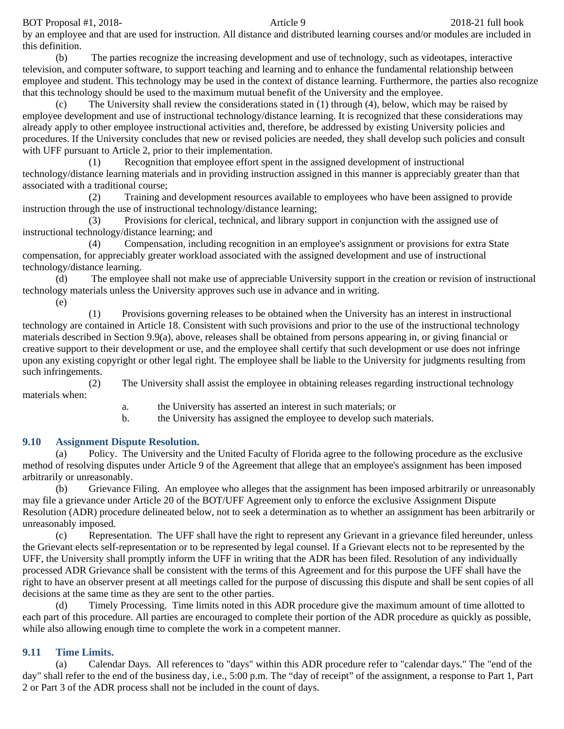BOT Proposal #1, 2018-<br>
Article 9 2018-21 full book

by an employee and that are used for instruction. All distance and distributed learning courses and/or modules are included in this definition.

(b) The parties recognize the increasing development and use of technology, such as videotapes, interactive television, and computer software, to support teaching and learning and to enhance the fundamental relationship between employee and student. This technology may be used in the context of distance learning. Furthermore, the parties also recognize that this technology should be used to the maximum mutual benefit of the University and the employee.

(c) The University shall review the considerations stated in (1) through (4), below, which may be raised by employee development and use of instructional technology/distance learning. It is recognized that these considerations may already apply to other employee instructional activities and, therefore, be addressed by existing University policies and procedures. If the University concludes that new or revised policies are needed, they shall develop such policies and consult with UFF pursuant to Article 2, prior to their implementation.

(1) Recognition that employee effort spent in the assigned development of instructional technology/distance learning materials and in providing instruction assigned in this manner is appreciably greater than that associated with a traditional course;

(2) Training and development resources available to employees who have been assigned to provide instruction through the use of instructional technology/distance learning;

(3) Provisions for clerical, technical, and library support in conjunction with the assigned use of instructional technology/distance learning; and

(4) Compensation, including recognition in an employee's assignment or provisions for extra State compensation, for appreciably greater workload associated with the assigned development and use of instructional technology/distance learning.

(d) The employee shall not make use of appreciable University support in the creation or revision of instructional technology materials unless the University approves such use in advance and in writing.

(e)

(1) Provisions governing releases to be obtained when the University has an interest in instructional technology are contained in Article 18. Consistent with such provisions and prior to the use of the instructional technology materials described in Section 9.9(a), above, releases shall be obtained from persons appearing in, or giving financial or creative support to their development or use, and the employee shall certify that such development or use does not infringe upon any existing copyright or other legal right. The employee shall be liable to the University for judgments resulting from such infringements.

(2) The University shall assist the employee in obtaining releases regarding instructional technology materials when:

a. the University has asserted an interest in such materials; or

b. the University has assigned the employee to develop such materials.

# **9.10 Assignment Dispute Resolution.**

(a) Policy. The University and the United Faculty of Florida agree to the following procedure as the exclusive method of resolving disputes under Article 9 of the Agreement that allege that an employee's assignment has been imposed arbitrarily or unreasonably.

(b) Grievance Filing. An employee who alleges that the assignment has been imposed arbitrarily or unreasonably may file a grievance under Article 20 of the BOT/UFF Agreement only to enforce the exclusive Assignment Dispute Resolution (ADR) procedure delineated below, not to seek a determination as to whether an assignment has been arbitrarily or unreasonably imposed.

(c) Representation. The UFF shall have the right to represent any Grievant in a grievance filed hereunder, unless the Grievant elects self-representation or to be represented by legal counsel. If a Grievant elects not to be represented by the UFF, the University shall promptly inform the UFF in writing that the ADR has been filed. Resolution of any individually processed ADR Grievance shall be consistent with the terms of this Agreement and for this purpose the UFF shall have the right to have an observer present at all meetings called for the purpose of discussing this dispute and shall be sent copies of all decisions at the same time as they are sent to the other parties.

(d) Timely Processing. Time limits noted in this ADR procedure give the maximum amount of time allotted to each part of this procedure. All parties are encouraged to complete their portion of the ADR procedure as quickly as possible, while also allowing enough time to complete the work in a competent manner.

# **9.11 Time Limits.**

(a) Calendar Days. All references to "days" within this ADR procedure refer to "calendar days." The "end of the day" shall refer to the end of the business day, i.e., 5:00 p.m. The "day of receipt" of the assignment, a response to Part 1, Part 2 or Part 3 of the ADR process shall not be included in the count of days.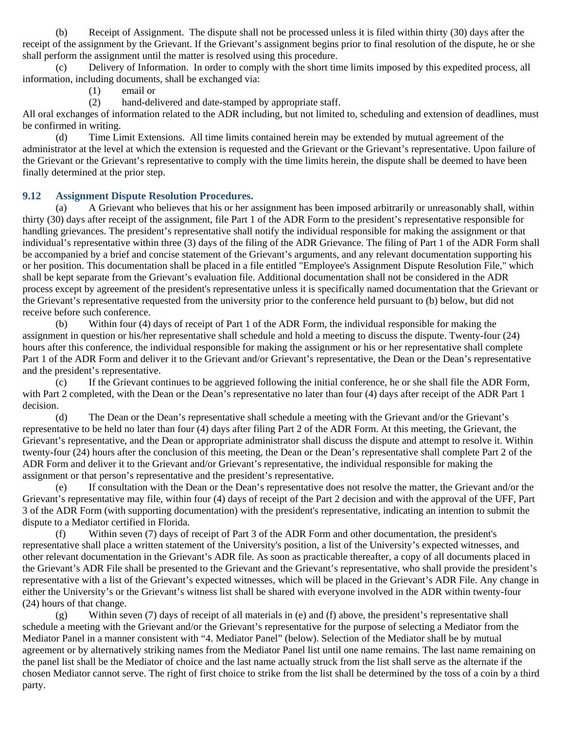(b) Receipt of Assignment. The dispute shall not be processed unless it is filed within thirty (30) days after the receipt of the assignment by the Grievant. If the Grievant's assignment begins prior to final resolution of the dispute, he or she shall perform the assignment until the matter is resolved using this procedure.

(c) Delivery of Information. In order to comply with the short time limits imposed by this expedited process, all information, including documents, shall be exchanged via:

(1) email or

(2) hand-delivered and date-stamped by appropriate staff.

All oral exchanges of information related to the ADR including, but not limited to, scheduling and extension of deadlines, must be confirmed in writing.

(d) Time Limit Extensions. All time limits contained herein may be extended by mutual agreement of the administrator at the level at which the extension is requested and the Grievant or the Grievant's representative. Upon failure of the Grievant or the Grievant's representative to comply with the time limits herein, the dispute shall be deemed to have been finally determined at the prior step.

# **9.12 Assignment Dispute Resolution Procedures.**

(a) A Grievant who believes that his or her assignment has been imposed arbitrarily or unreasonably shall, within thirty (30) days after receipt of the assignment, file Part 1 of the ADR Form to the president's representative responsible for handling grievances. The president's representative shall notify the individual responsible for making the assignment or that individual's representative within three (3) days of the filing of the ADR Grievance. The filing of Part 1 of the ADR Form shall be accompanied by a brief and concise statement of the Grievant's arguments, and any relevant documentation supporting his or her position. This documentation shall be placed in a file entitled "Employee's Assignment Dispute Resolution File," which shall be kept separate from the Grievant's evaluation file. Additional documentation shall not be considered in the ADR process except by agreement of the president's representative unless it is specifically named documentation that the Grievant or the Grievant's representative requested from the university prior to the conference held pursuant to (b) below, but did not receive before such conference.

(b) Within four (4) days of receipt of Part 1 of the ADR Form, the individual responsible for making the assignment in question or his/her representative shall schedule and hold a meeting to discuss the dispute. Twenty-four (24) hours after this conference, the individual responsible for making the assignment or his or her representative shall complete Part 1 of the ADR Form and deliver it to the Grievant and/or Grievant's representative, the Dean or the Dean's representative and the president's representative.

(c) If the Grievant continues to be aggrieved following the initial conference, he or she shall file the ADR Form, with Part 2 completed, with the Dean or the Dean's representative no later than four (4) days after receipt of the ADR Part 1 decision.

(d) The Dean or the Dean's representative shall schedule a meeting with the Grievant and/or the Grievant's representative to be held no later than four (4) days after filing Part 2 of the ADR Form. At this meeting, the Grievant, the Grievant's representative, and the Dean or appropriate administrator shall discuss the dispute and attempt to resolve it. Within twenty-four (24) hours after the conclusion of this meeting, the Dean or the Dean's representative shall complete Part 2 of the ADR Form and deliver it to the Grievant and/or Grievant's representative, the individual responsible for making the assignment or that person's representative and the president's representative.

(e) If consultation with the Dean or the Dean's representative does not resolve the matter, the Grievant and/or the Grievant's representative may file, within four (4) days of receipt of the Part 2 decision and with the approval of the UFF, Part 3 of the ADR Form (with supporting documentation) with the president's representative, indicating an intention to submit the dispute to a Mediator certified in Florida.

(f) Within seven (7) days of receipt of Part 3 of the ADR Form and other documentation, the president's representative shall place a written statement of the University's position, a list of the University's expected witnesses, and other relevant documentation in the Grievant's ADR file. As soon as practicable thereafter, a copy of all documents placed in the Grievant's ADR File shall be presented to the Grievant and the Grievant's representative, who shall provide the president's representative with a list of the Grievant's expected witnesses, which will be placed in the Grievant's ADR File. Any change in either the University's or the Grievant's witness list shall be shared with everyone involved in the ADR within twenty-four (24) hours of that change.

(g) Within seven (7) days of receipt of all materials in (e) and (f) above, the president's representative shall schedule a meeting with the Grievant and/or the Grievant's representative for the purpose of selecting a Mediator from the Mediator Panel in a manner consistent with "4. Mediator Panel" (below). Selection of the Mediator shall be by mutual agreement or by alternatively striking names from the Mediator Panel list until one name remains. The last name remaining on the panel list shall be the Mediator of choice and the last name actually struck from the list shall serve as the alternate if the chosen Mediator cannot serve. The right of first choice to strike from the list shall be determined by the toss of a coin by a third party.